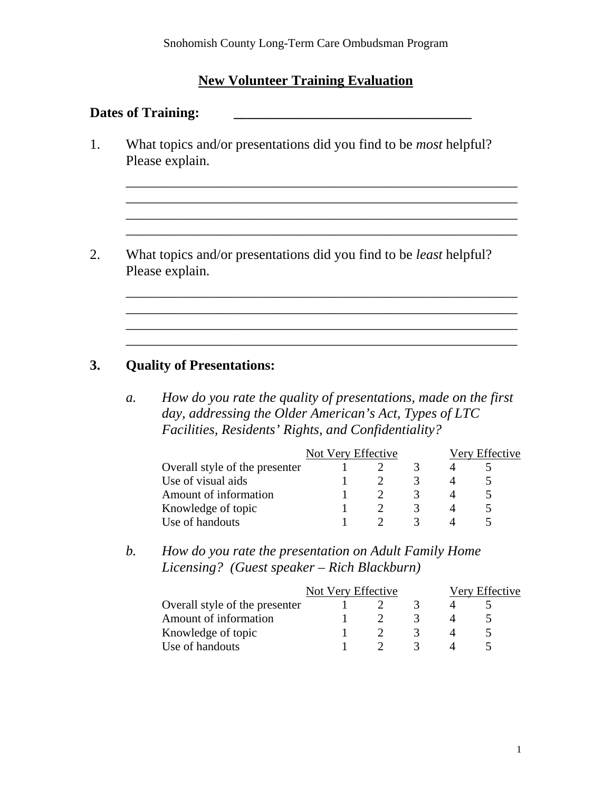# **New Volunteer Training Evaluation**

### Dates of Training: <u>\_\_\_\_\_\_\_\_\_\_\_\_\_\_\_\_\_\_\_\_\_\_\_\_\_\_\_\_\_\_\_\_\_</u>

1. What topics and/or presentations did you find to be *most* helpful? Please explain.

\_\_\_\_\_\_\_\_\_\_\_\_\_\_\_\_\_\_\_\_\_\_\_\_\_\_\_\_\_\_\_\_\_\_\_\_\_\_\_\_\_\_\_\_\_\_\_\_\_\_\_\_\_\_\_\_

\_\_\_\_\_\_\_\_\_\_\_\_\_\_\_\_\_\_\_\_\_\_\_\_\_\_\_\_\_\_\_\_\_\_\_\_\_\_\_\_\_\_\_\_\_\_\_\_\_\_\_\_\_\_\_\_  $\mathcal{L}_\text{max} = \mathcal{L}_\text{max} = \mathcal{L}_\text{max} = \mathcal{L}_\text{max} = \mathcal{L}_\text{max} = \mathcal{L}_\text{max} = \mathcal{L}_\text{max} = \mathcal{L}_\text{max} = \mathcal{L}_\text{max} = \mathcal{L}_\text{max} = \mathcal{L}_\text{max} = \mathcal{L}_\text{max} = \mathcal{L}_\text{max} = \mathcal{L}_\text{max} = \mathcal{L}_\text{max} = \mathcal{L}_\text{max} = \mathcal{L}_\text{max} = \mathcal{L}_\text{max} = \mathcal{$ \_\_\_\_\_\_\_\_\_\_\_\_\_\_\_\_\_\_\_\_\_\_\_\_\_\_\_\_\_\_\_\_\_\_\_\_\_\_\_\_\_\_\_\_\_\_\_\_\_\_\_\_\_\_\_\_

2. What topics and/or presentations did you find to be *least* helpful? Please explain.

# **3. Quality of Presentations:**

*a. How do you rate the quality of presentations, made on the first day, addressing the Older American's Act, Types of LTC Facilities, Residents' Rights, and Confidentiality?* 

\_\_\_\_\_\_\_\_\_\_\_\_\_\_\_\_\_\_\_\_\_\_\_\_\_\_\_\_\_\_\_\_\_\_\_\_\_\_\_\_\_\_\_\_\_\_\_\_\_\_\_\_\_\_\_\_  $\mathcal{L}_\mathcal{L} = \mathcal{L}_\mathcal{L} = \mathcal{L}_\mathcal{L} = \mathcal{L}_\mathcal{L} = \mathcal{L}_\mathcal{L} = \mathcal{L}_\mathcal{L} = \mathcal{L}_\mathcal{L} = \mathcal{L}_\mathcal{L} = \mathcal{L}_\mathcal{L} = \mathcal{L}_\mathcal{L} = \mathcal{L}_\mathcal{L} = \mathcal{L}_\mathcal{L} = \mathcal{L}_\mathcal{L} = \mathcal{L}_\mathcal{L} = \mathcal{L}_\mathcal{L} = \mathcal{L}_\mathcal{L} = \mathcal{L}_\mathcal{L}$ \_\_\_\_\_\_\_\_\_\_\_\_\_\_\_\_\_\_\_\_\_\_\_\_\_\_\_\_\_\_\_\_\_\_\_\_\_\_\_\_\_\_\_\_\_\_\_\_\_\_\_\_\_\_\_\_ \_\_\_\_\_\_\_\_\_\_\_\_\_\_\_\_\_\_\_\_\_\_\_\_\_\_\_\_\_\_\_\_\_\_\_\_\_\_\_\_\_\_\_\_\_\_\_\_\_\_\_\_\_\_\_\_

|                                | Not Very Effective |  |  | Very Effective |  |
|--------------------------------|--------------------|--|--|----------------|--|
| Overall style of the presenter |                    |  |  |                |  |
| Use of visual aids             |                    |  |  |                |  |
| Amount of information          |                    |  |  |                |  |
| Knowledge of topic             |                    |  |  |                |  |
| Use of handouts                |                    |  |  |                |  |

*b. How do you rate the presentation on Adult Family Home Licensing? (Guest speaker – Rich Blackburn)* 

|                                | Not Very Effective |  |  | Very Effective |  |
|--------------------------------|--------------------|--|--|----------------|--|
| Overall style of the presenter |                    |  |  |                |  |
| Amount of information          |                    |  |  |                |  |
| Knowledge of topic             |                    |  |  |                |  |
| Use of handouts                |                    |  |  |                |  |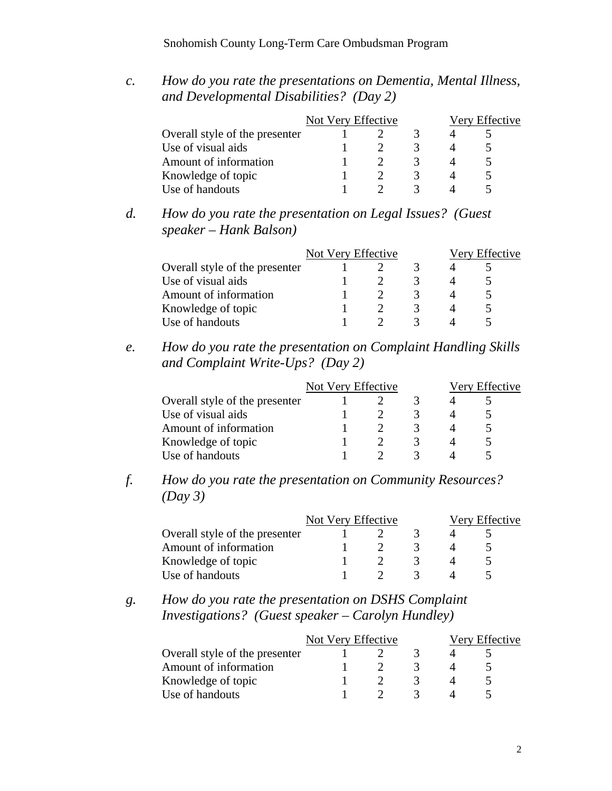### Snohomish County Long-Term Care Ombudsman Program

*c. How do you rate the presentations on Dementia, Mental Illness, and Developmental Disabilities? (Day 2)* 

|                                | Not Very Effective |  |  | Very Effective |  |  |
|--------------------------------|--------------------|--|--|----------------|--|--|
| Overall style of the presenter |                    |  |  |                |  |  |
| Use of visual aids             |                    |  |  |                |  |  |
| Amount of information          |                    |  |  |                |  |  |
| Knowledge of topic             |                    |  |  |                |  |  |
| Use of handouts                |                    |  |  |                |  |  |

*d. How do you rate the presentation on Legal Issues? (Guest speaker – Hank Balson)* 

|                                | Not Very Effective |  |  | Very Effective |  |  |
|--------------------------------|--------------------|--|--|----------------|--|--|
| Overall style of the presenter |                    |  |  |                |  |  |
| Use of visual aids             |                    |  |  |                |  |  |
| Amount of information          |                    |  |  |                |  |  |
| Knowledge of topic             |                    |  |  |                |  |  |
| Use of handouts                |                    |  |  |                |  |  |

*e. How do you rate the presentation on Complaint Handling Skills and Complaint Write-Ups? (Day 2)* 

|                                | Not Very Effective |  |  | Very Effective |  |  |
|--------------------------------|--------------------|--|--|----------------|--|--|
| Overall style of the presenter |                    |  |  |                |  |  |
| Use of visual aids             |                    |  |  |                |  |  |
| Amount of information          |                    |  |  |                |  |  |
| Knowledge of topic             |                    |  |  |                |  |  |
| Use of handouts                |                    |  |  |                |  |  |

*f. How do you rate the presentation on Community Resources? (Day 3)* 

|                                | Not Very Effective | Very Effective |  |  |  |
|--------------------------------|--------------------|----------------|--|--|--|
| Overall style of the presenter |                    |                |  |  |  |
| Amount of information          |                    |                |  |  |  |
| Knowledge of topic             |                    |                |  |  |  |
| Use of handouts                |                    |                |  |  |  |

## *g. How do you rate the presentation on DSHS Complaint Investigations? (Guest speaker – Carolyn Hundley)*

|                                | Not Very Effective |  |  | Very Effective |  |
|--------------------------------|--------------------|--|--|----------------|--|
| Overall style of the presenter |                    |  |  |                |  |
| Amount of information          |                    |  |  |                |  |
| Knowledge of topic             |                    |  |  |                |  |
| Use of handouts                |                    |  |  |                |  |